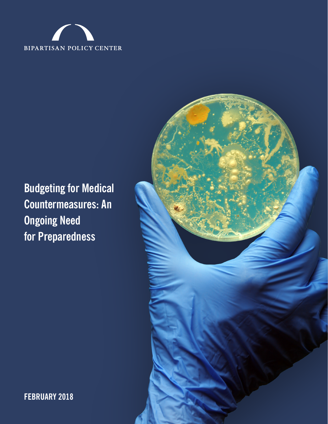

# **Budgeting for Medical Countermeasures: An Ongoing Need for Preparedness**



**FEBRUARY 2018**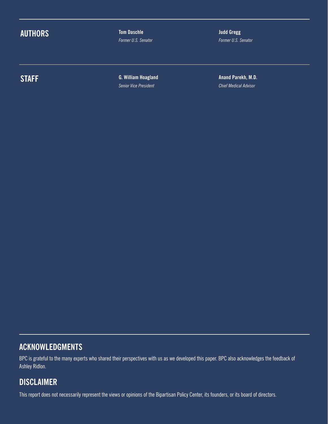## **AUTHORS**

**Tom Daschle** *Former U.S. Senator* **Judd Gregg** *Former U.S. Senator*

## **STAFF**

**G. William Hoagland** *Senior Vice President*

**Anand Parekh, M.D.** *Chief Medical Advisor*

### **ACKNOWLEDGMENTS**

BPC is grateful to the many experts who shared their perspectives with us as we developed this paper. BPC also acknowledges the feedback of Ashley Ridlon.

### **DISCLAIMER**

This report does not necessarily represent the views or opinions of the Bipartisan Policy Center, its founders, or its board of directors.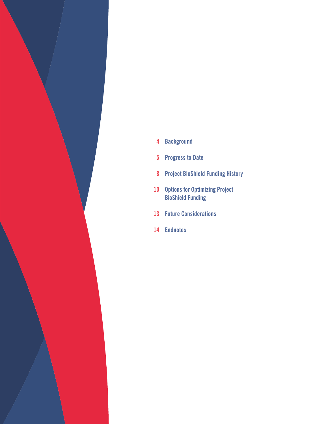

- **Background**
- **Progress to Date**
- **Project BioShield Funding History**
- **Options for Optimizing Project BioShield Funding**
- **Future Considerations**
- **Endnotes**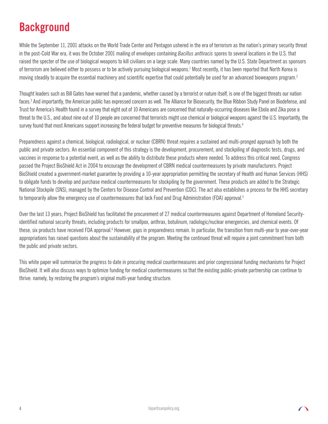# **Background**

While the September 11, 2001 attacks on the World Trade Center and Pentagon ushered in the era of terrorism as the nation's primary security threat in the post-Cold War era, it was the October 2001 mailing of envelopes containing *Bacillus anthracis* spores to several locations in the U.S. that raised the specter of the use of biological weapons to kill civilians on a large scale. Many countries named by the U.S. State Department as sponsors of terrorism are believed either to possess or to be actively pursuing biological weapons.<sup>1</sup> Most recently, it has been reported that North Korea is moving steadily to acquire the essential machinery and scientific expertise that could potentially be used for an advanced bioweapons program.<sup>2</sup>

Thought leaders such as Bill Gates have warned that a pandemic, whether caused by a terrorist or nature itself, is one of the biggest threats our nation faces.<sup>3</sup> And importantly, the American public has expressed concern as well. The Alliance for Biosecurity, the Blue Ribbon Study Panel on Biodefense, and Trust for America's Health found in a survey that eight out of 10 Americans are concerned that naturally-occurring diseases like Ebola and Zika pose a threat to the U.S., and about nine out of 10 people are concerned that terrorists might use chemical or biological weapons against the U.S. Importantly, the survey found that most Americans support increasing the federal budget for preventive measures for biological threats.<sup>4</sup>

Preparedness against a chemical, biological, radiological, or nuclear (CBRN) threat requires a sustained and multi-pronged approach by both the public and private sectors. An essential component of this strategy is the development, procurement, and stockpiling of diagnostic tests, drugs, and vaccines in response to a potential event, as well as the ability to distribute these products where needed. To address this critical need, Congress passed the Project BioShield Act in 2004 to encourage the development of CBRN medical countermeasures by private manufacturers. Project BioShield created a government-market guarantee by providing a 10-year appropriation permitting the secretary of Health and Human Services (HHS) to obligate funds to develop and purchase medical countermeasures for stockpiling by the government. These products are added to the Strategic National Stockpile (SNS), managed by the Centers for Disease Control and Prevention (CDC). The act also establishes a process for the HHS secretary to temporarily allow the emergency use of countermeasures that lack Food and Drug Administration (FDA) approval.<sup>5</sup>

Over the last 13 years, Project BioShield has facilitated the procurement of 27 medical countermeasures against Department of Homeland Securityidentified national security threats, including products for smallpox, anthrax, botulinum, radiologic/nuclear emergencies, and chemical events. Of these, six products have received FDA approval.<sup>6</sup> However, gaps in preparedness remain. In particular, the transition from multi-year to year-over-year appropriations has raised questions about the sustainability of the program. Meeting the continued threat will require a joint commitment from both the public and private sectors.

This white paper will summarize the progress to date in procuring medical countermeasures and prior congressional funding mechanisms for Project BioShield. It will also discuss ways to optimize funding for medical countermeasures so that the existing public-private partnership can continue to thrive: namely, by restoring the program's original multi-year funding structure.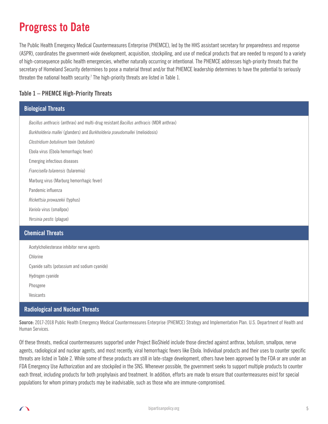## **Progress to Date**

The Public Health Emergency Medical Countermeasures Enterprise (PHEMCE), led by the HHS assistant secretary for preparedness and response (ASPR), coordinates the government-wide development, acquisition, stockpiling, and use of medical products that are needed to respond to a variety of high-consequence public health emergencies, whether naturally occurring or intentional. The PHEMCE addresses high-priority threats that the secretary of Homeland Security determines to pose a material threat and/or that PHEMCE leadership determines to have the potential to seriously threaten the national health security.<sup>7</sup> The high-priority threats are listed in Table 1.

#### **Table 1 – PHEMCE High-Priority Threats**

| <b>Biological Threats</b>                                                              |  |  |
|----------------------------------------------------------------------------------------|--|--|
| Bacillus anthracis (anthrax) and multi-drug resistant Bacillus anthracis (MDR anthrax) |  |  |
| Burkholderia mallei (glanders) and Burkholderia pseudomallei (melioidosis)             |  |  |
| Clostridium botulinum toxin (botulism)                                                 |  |  |
| Ebola virus (Ebola hemorrhagic fever)                                                  |  |  |
| <b>Emerging infectious diseases</b>                                                    |  |  |
| Francisella tularensis (tularemia)                                                     |  |  |
| Marburg virus (Marburg hemorrhagic fever)                                              |  |  |
| Pandemic influenza                                                                     |  |  |
| Rickettsia prowazekii (typhus)                                                         |  |  |
| Variola virus (smallpox)                                                               |  |  |
| Yersinia pestis (plague)                                                               |  |  |
| <b>Chemical Threats</b>                                                                |  |  |
| Acetylcholiesterase inhibitor nerve agents                                             |  |  |
| Chlorine                                                                               |  |  |
| Cyanide salts (potassium and sodium cyanide)                                           |  |  |
| Hydrogen cyanide                                                                       |  |  |
| Phosgene                                                                               |  |  |
| Vesicants                                                                              |  |  |

#### **Radiological and Nuclear Threats**

**Source:** 2017-2018 Public Health Emergency Medical Countermeasures Enterprise (PHEMCE) Strategy and Implementation Plan. U.S. Department of Health and Human Services.

Of these threats, medical countermeasures supported under Project BioShield include those directed against anthrax, botulism, smallpox, nerve agents, radiological and nuclear agents, and most recently, viral hemorrhagic fevers like Ebola. Individual products and their uses to counter specific threats are listed in Table 2. While some of these products are still in late-stage development, others have been approved by the FDA or are under an FDA Emergency Use Authorization and are stockpiled in the SNS. Whenever possible, the government seeks to support multiple products to counter each threat, including products for both prophylaxis and treatment. In addition, efforts are made to ensure that countermeasures exist for special populations for whom primary products may be inadvisable, such as those who are immune-compromised.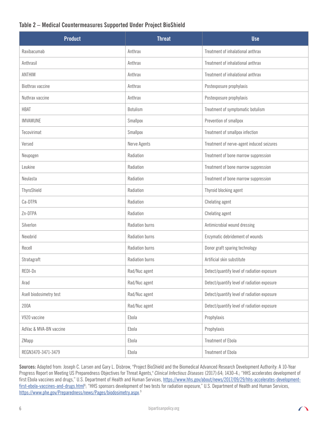#### **Table 2 – Medical Countermeasures Supported Under Project BioShield**

| <b>Product</b>          | <b>Threat</b>          | <b>Use</b>                                  |
|-------------------------|------------------------|---------------------------------------------|
| Raxibacumab             | Anthrax                | Treatment of inhalational anthrax           |
| Anthrasil               | Anthrax                | Treatment of inhalational anthrax           |
| <b>ANTHIM</b>           | Anthrax                | Treatment of inhalational anthrax           |
| Biothrax vaccine        | Anthrax                | Postexposure prophylaxis                    |
| Nuthrax vaccine         | Anthrax                | Postexposure prophylaxis                    |
| <b>HBAT</b>             | <b>Botulism</b>        | Treatment of symptomatic botulism           |
| IMVAMUNE                | Smallpox               | Prevention of smallpox                      |
| Tecovirimat             | Smallpox               | Treatment of smallpox infection             |
| Versed                  | Nerve Agents           | Treatment of nerve-agent induced seizures   |
| Neupogen                | Radiation              | Treatment of bone marrow suppression        |
| Leukine                 | Radiation              | Treatment of bone marrow suppression        |
| Neulasta                | Radiation              | Treatment of bone marrow suppression        |
| ThyroShield             | Radiation              | Thyroid blocking agent                      |
| Ca-DTPA                 | Radiation              | Chelating agent                             |
| Zn-DTPA                 | Radiation              | Chelating agent                             |
| Silverlon               | <b>Radiation burns</b> | Antimicrobial wound dressing                |
| Nexobrid                | Radiation burns        | Enzymatic debridement of wounds             |
| Recell                  | <b>Radiation burns</b> | Donor graft sparing technology              |
| Stratagraft             | Radiation burns        | Artificial skin substitute                  |
| REDI-Dx                 | Rad/Nuc agent          | Detect/quantify level of radiation exposure |
| Arad                    | Rad/Nuc agent          | Detect/quantify level of radiation exposure |
| Asell biodosimetry test | Rad/Nuc agent          | Detect/quantify level of radiation exposure |
| 200A                    | Rad/Nuc agent          | Detect/quantify level of radiation exposure |
| V920 vaccine            | Ebola                  | Prophylaxis                                 |
| AdVac & MVA-BN vaccine  | Ebola                  | Prophylaxis                                 |
| ZMapp                   | Ebola                  | <b>Treatment of Ebola</b>                   |
| REGN3470-3471-3479      | Ebola                  | <b>Treatment of Ebola</b>                   |

**Sources:** Adapted from: Joseph C. Larsen and Gary L. Disbrow, "Project BioShield and the Biomedical Advanced Research Development Authority: A 10-Year Progress Report on Meeting US Preparedness Objectives for Threat Agents," *Clinical Infectious Diseases* (2017):64; 1430-4.; "HHS accelerates development of first Ebola vaccines and drugs," U.S. Department of Health and Human Services, [https://www.hhs.gov/about/news/2017/09/29/hhs-accelerates-development](https://www.hhs.gov/about/news/2017/09/29/hhs-accelerates-development-first-ebola-vaccines-and-drugs.html)[first-ebola-vaccines-and-drugs.html](https://www.hhs.gov/about/news/2017/09/29/hhs-accelerates-development-first-ebola-vaccines-and-drugs.html)<sup>8</sup>; "HHS sponsors development of two tests for radiation exposure," U.S. Department of Health and Human Services, <https://www.phe.gov/Preparedness/news/Pages/biodosimetry.aspx>. 9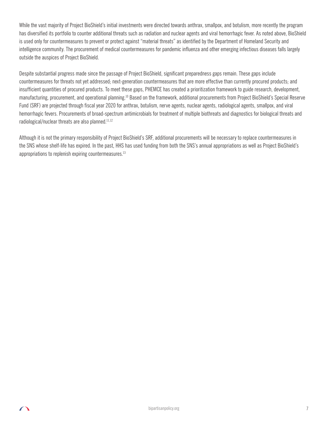While the vast majority of Project BioShield's initial investments were directed towards anthrax, smallpox, and botulism, more recently the program has diversified its portfolio to counter additional threats such as radiation and nuclear agents and viral hemorrhagic fever. As noted above, BioShield is used only for countermeasures to prevent or protect against "material threats" as identified by the Department of Homeland Security and intelligence community. The procurement of medical countermeasures for pandemic influenza and other emerging infectious diseases falls largely outside the auspices of Project BioShield.

Despite substantial progress made since the passage of Project BioShield, significant preparedness gaps remain. These gaps include countermeasures for threats not yet addressed; next-generation countermeasures that are more effective than currently procured products; and insufficient quantities of procured products. To meet these gaps, PHEMCE has created a prioritization framework to guide research, development, manufacturing, procurement, and operational planning.10 Based on the framework, additional procurements from Project BioShield's Special Reserve Fund (SRF) are projected through fiscal year 2020 for anthrax, botulism, nerve agents, nuclear agents, radiological agents, smallpox, and viral hemorrhagic fevers. Procurements of broad-spectrum antimicrobials for treatment of multiple biothreats and diagnostics for biological threats and radiological/nuclear threats are also planned.<sup>11,12</sup>

Although it is not the primary responsibility of Project BioShield's SRF, additional procurements will be necessary to replace countermeasures in the SNS whose shelf-life has expired. In the past, HHS has used funding from both the SNS's annual appropriations as well as Project BioShield's appropriations to replenish expiring countermeasures. $13$ 

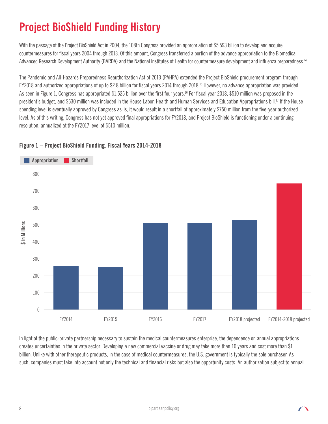# **Project BioShield Funding History**

With the passage of the Project BioShield Act in 2004, the 108th Congress provided an appropriation of \$5.593 billion to develop and acquire countermeasures for fiscal years 2004 through 2013. Of this amount, Congress transferred a portion of the advance appropriation to the Biomedical Advanced Research Development Authority (BARDA) and the National Institutes of Health for countermeasure development and influenza preparedness.<sup>14</sup>

The Pandemic and All-Hazards Preparedness Reauthorization Act of 2013 (PAHPA) extended the Project BioShield procurement program through FY2018 and authorized appropriations of up to \$2.8 billion for fiscal years 2014 through 2018.15 However, no advance appropriation was provided. As seen in Figure 1, Congress has appropriated \$1.525 billion over the first four years.<sup>16</sup> For fiscal year 2018, \$510 million was proposed in the president's budget, and \$530 million was included in the House Labor, Health and Human Services and Education Appropriations bill.<sup>17</sup> If the House spending level is eventually approved by Congress as-is, it would result in a shortfall of approximately \$750 million from the five-year authorized level. As of this writing, Congress has not yet approved final appropriations for FY2018, and Project BioShield is functioning under a continuing resolution, annualized at the FY2017 level of \$510 million.



### **Figure 1 – Project BioShield Funding, Fiscal Years 2014-2018**

In light of the public-private partnership necessary to sustain the medical countermeasures enterprise, the dependence on annual appropriations creates uncertainties in the private sector. Developing a new commercial vaccine or drug may take more than 10 years and cost more than \$1 billion. Unlike with other therapeutic products, in the case of medical countermeasures, the U.S. government is typically the sole purchaser. As such, companies must take into account not only the technical and financial risks but also the opportunity costs. An authorization subject to annual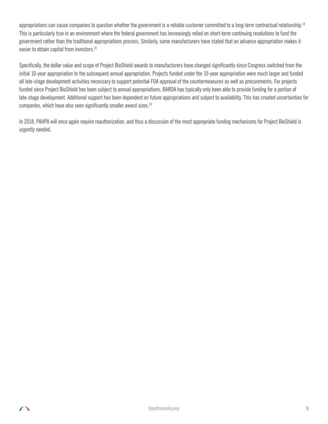appropriations can cause companies to question whether the government is a reliable customer committed to a long-term contractual relationship.<sup>18</sup> This is particularly true in an environment where the federal government has increasingly relied on short-term continuing resolutions to fund the government rather than the traditional appropriations process. Similarly, some manufacturers have stated that an advance appropriation makes it easier to obtain capital from investors.<sup>19</sup>

Specifically, the dollar value and scope of Project BioShield awards to manufacturers have changed significantly since Congress switched from the initial 10-year appropriation to the subsequent annual appropriation. Projects funded under the 10-year appropriation were much larger and funded all late-stage development activities necessary to support potential FDA approval of the countermeasures as well as procurements. For projects funded since Project BioShield has been subject to annual appropriations, BARDA has typically only been able to provide funding for a portion of late-stage development. Additional support has been dependent on future appropriations and subject to availability. This has created uncertainties for companies, which have also seen significantly smaller award sizes.<sup>20</sup>

In 2018, PAHPA will once again require reauthorization, and thus a discussion of the most appropriate funding mechanisms for Project BioShield is urgently needed.

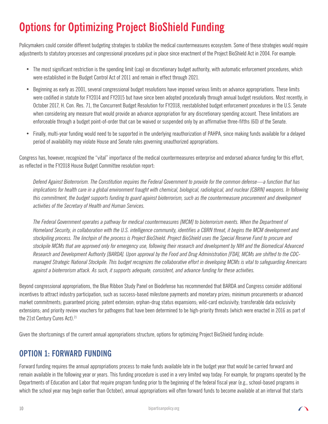# **Options for Optimizing Project BioShield Funding**

Policymakers could consider different budgeting strategies to stabilize the medical countermeasures ecosystem. Some of these strategies would require adjustments to statutory processes and congressional procedures put in place since enactment of the Project BioShield Act in 2004. For example:

- The most significant restriction is the spending limit (cap) on discretionary budget authority, with automatic enforcement procedures, which were established in the Budget Control Act of 2011 and remain in effect through 2021.
- Beginning as early as 2001, several congressional budget resolutions have imposed various limits on advance appropriations. These limits were codified in statute for FY2014 and FY2015 but have since been adopted procedurally through annual budget resolutions. Most recently, in October 2017, H. Con. Res. 71, the Concurrent Budget Resolution for FY2018, reestablished budget enforcement procedures in the U.S. Senate when considering any measure that would provide an advance appropriation for any discretionary spending account. These limitations are enforceable through a budget point-of-order that can be waived or suspended only by an affirmative three-fifths (60) of the Senate.
- Finally, multi-year funding would need to be supported in the underlying reauthorization of PAHPA, since making funds available for a delayed period of availability may violate House and Senate rules governing unauthorized appropriations.

Congress has, however, recognized the "vital" importance of the medical countermeasures enterprise and endorsed advance funding for this effort, as reflected in the FY2018 House Budget Committee resolution report:

 *Defend Against Bioterrorism. The Constitution requires the Federal Government to provide for the common defense—a function that has implications for health care in a global environment fraught with chemical, biological, radiological, and nuclear [CBRN] weapons. In following this commitment, the budget supports funding to guard against bioterrorism, such as the countermeasure procurement and development activities of the Secretary of Health and Human Services.*

*The Federal Government operates a pathway for medical countermeasures [MCM] to bioterrorism events. When the Department of Homeland Security, in collaboration with the U.S. intelligence community, identifies a CBRN threat, it begins the MCM development and stockpiling process. The linchpin of the process is Project BioShield. Project BioShield uses the Special Reserve Fund to procure and stockpile MCMs that are approved only for emergency use, following their research and development by NIH and the Biomedical Advanced Research and Development Authority [BARDA]. Upon approval by the Food and Drug Administration [FDA], MCMs are shifted to the CDCmanaged Strategic National Stockpile. This budget recognizes the collaborative effort in developing MCMs is vital to safeguarding Americans against a bioterrorism attack. As such, it supports adequate, consistent, and advance funding for these activities.*

Beyond congressional appropriations, the Blue Ribbon Study Panel on Biodefense has recommended that BARDA and Congress consider additional incentives to attract industry participation, such as success-based milestone payments and monetary prizes; minimum procurements or advanced market commitments; guaranteed pricing; patent extension; orphan-drug status expansions; wild-card exclusivity; transferable data exclusivity extensions; and priority review vouchers for pathogens that have been determined to be high-priority threats (which were enacted in 2016 as part of the 21st Century Cures Act).<sup>21</sup>

Given the shortcomings of the current annual appropriations structure, options for optimizing Project BioShield funding include:

## **OPTION 1: FORWARD FUNDING**

Forward funding requires the annual appropriations process to make funds available late in the budget year that would be carried forward and remain available in the following year or years. This funding procedure is used in a very limited way today. For example, for programs operated by the Departments of Education and Labor that require program funding prior to the beginning of the federal fiscal year (e.g., school-based programs in which the school year may begin earlier than October), annual appropriations will often forward funds to become available at an interval that starts

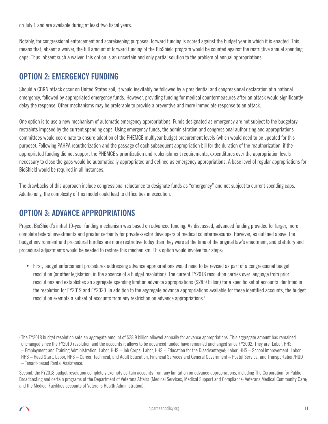on July 1 and are available during at least two fiscal years.

Notably, for congressional enforcement and scorekeeping purposes, forward funding is scored against the budget year in which it is enacted. This means that, absent a waiver, the full amount of forward funding of the BioShield program would be counted against the restrictive annual spending caps. Thus, absent such a waiver, this option is an uncertain and only partial solution to the problem of annual appropriations.

### **OPTION 2: EMERGENCY FUNDING**

Should a CBRN attack occur on United States soil, it would inevitably be followed by a presidential and congressional declaration of a national emergency, followed by appropriated emergency funds. However, providing funding for medical countermeasures after an attack would significantly delay the response. Other mechanisms may be preferable to provide a preventive and more immediate response to an attack.

One option is to use a new mechanism of automatic emergency appropriations. Funds designated as emergency are not subject to the budgetary restraints imposed by the current spending caps. Using emergency funds, the administration and congressional authorizing and appropriations committees would coordinate to ensure adoption of the PHEMCE multiyear budget procurement levels (which would need to be updated for this purpose). Following PAHPA reauthorization and the passage of each subsequent appropriation bill for the duration of the reauthorization, if the appropriated funding did not support the PHEMCE's prioritization and replenishment requirements, expenditures over the appropriation levels necessary to close the gaps would be automatically appropriated and defined as emergency appropriations. A base level of regular appropriations for BioShield would be required in all instances.

The drawbacks of this approach include congressional reluctance to designate funds as "emergency" and not subject to current spending caps. Additionally, the complexity of this model could lead to difficulties in execution.

## **OPTION 3: ADVANCE APPROPRIATIONS**

Project BioShield's initial 10-year funding mechanism was based on advanced funding. As discussed, advanced funding provided for larger, more complete federal investments and greater certainty for private-sector developers of medical countermeasures. However, as outlined above, the budget environment and procedural hurdles are more restrictive today than they were at the time of the original law's enactment, and statutory and procedural adjustments would be needed to restore this mechanism. This option would involve four steps:

• First, budget enforcement procedures addressing advance appropriations would need to be revised as part of a congressional budget resolution (or other legislation, in the absence of a budget resolution). The current FY2018 resolution carries over language from prior resolutions and establishes an aggregate spending limit on advance appropriations (\$28.9 billion) for a specific set of accounts identified in the resolution for FY2019 and FY2020. In addition to the aggregate advance appropriations available for these identified accounts, the budget resolution exempts a subset of accounts from any restriction on advance appropriations.<sup>a</sup>

a The FY2018 budget resolution sets an aggregate amount of \$28.9 billion allowed annually for advance appropriations. This aggregate amount has remained unchanged since the FY2010 resolution and the accounts it allows to be advanced funded have remained unchanged since FY2002. They are: Labor, HHS – Employment and Training Administration; Labor, HHS – Job Corps; Labor, HHS – Education for the Disadvantaged; Labor, HHS – School Improvement; Labor, HHS – Head Start; Labor, HHS – Career, Technical, and Adult Education; Financial Services and General Government – Postal Service; and Transportation/HUD – Tenant-based Rental Assistance.

Second, the FY2018 budget resolution completely exempts certain accounts from any limitation on advance appropriations, including The Corporation for Public Broadcasting and certain programs of the Department of Veterans Affairs (Medical Services, Medical Support and Compliance; Veterans Medical Community Care; and the Medical Facilities accounts of Veterans Health Administration).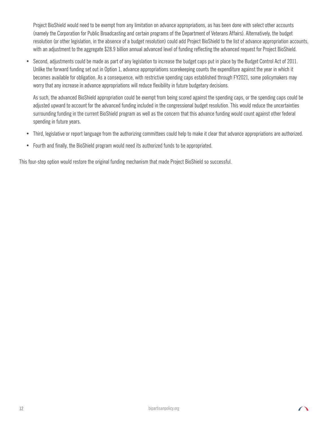Project BioShield would need to be exempt from any limitation on advance appropriations, as has been done with select other accounts (namely the Corporation for Public Broadcasting and certain programs of the Department of Veterans Affairs). Alternatively, the budget resolution (or other legislation, in the absence of a budget resolution) could add Project BioShield to the list of advance appropriation accounts, with an adjustment to the aggregate \$28.9 billion annual advanced level of funding reflecting the advanced request for Project BioShield.

• Second, adjustments could be made as part of any legislation to increase the budget caps put in place by the Budget Control Act of 2011. Unlike the forward funding set out in Option 1, advance appropriations scorekeeping counts the expenditure against the year in which it becomes available for obligation. As a consequence, with restrictive spending caps established through FY2021, some policymakers may worry that any increase in advance appropriations will reduce flexibility in future budgetary decisions.

As such, the advanced BioShield appropriation could be exempt from being scored against the spending caps, or the spending caps could be adjusted upward to account for the advanced funding included in the congressional budget resolution. This would reduce the uncertainties surrounding funding in the current BioShield program as well as the concern that this advance funding would count against other federal spending in future years.

- Third, legislative or report language from the authorizing committees could help to make it clear that advance appropriations are authorized.
- Fourth and finally, the BioShield program would need its authorized funds to be appropriated.

This four-step option would restore the original funding mechanism that made Project BioShield so successful.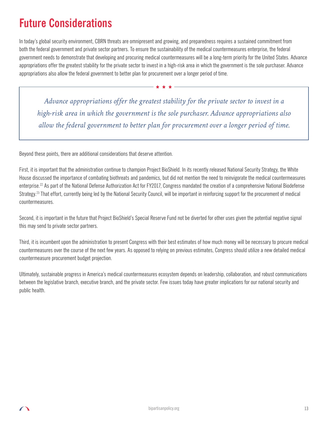## **Future Considerations**

In today's global security environment, CBRN threats are omnipresent and growing, and preparedness requires a sustained commitment from both the federal government and private sector partners. To ensure the sustainability of the medical countermeasures enterprise, the federal government needs to demonstrate that developing and procuring medical countermeasures will be a long-term priority for the United States. Advance appropriations offer the greatest stability for the private sector to invest in a high-risk area in which the government is the sole purchaser. Advance appropriations also allow the federal government to better plan for procurement over a longer period of time.

*Advance appropriations offer the greatest stability for the private sector to invest in a high-risk area in which the government is the sole purchaser. Advance appropriations also allow the federal government to better plan for procurement over a longer period of time.*

Beyond these points, there are additional considerations that deserve attention.

First, it is important that the administration continue to champion Project BioShield. In its recently released National Security Strategy, the White House discussed the importance of combating biothreats and pandemics, but did not mention the need to reinvigorate the medical countermeasures enterprise.22 As part of the National Defense Authorization Act for FY2017, Congress mandated the creation of a comprehensive National Biodefense Strategy.<sup>23</sup> That effort, currently being led by the National Security Council, will be important in reinforcing support for the procurement of medical countermeasures.

Second, it is important in the future that Project BioShield's Special Reserve Fund not be diverted for other uses given the potential negative signal this may send to private sector partners.

Third, it is incumbent upon the administration to present Congress with their best estimates of how much money will be necessary to procure medical countermeasures over the course of the next few years. As opposed to relying on previous estimates, Congress should utilize a new detailed medical countermeasure procurement budget projection.

Ultimately, sustainable progress in America's medical countermeasures ecosystem depends on leadership, collaboration, and robust communications between the legislative branch, executive branch, and the private sector. Few issues today have greater implications for our national security and public health.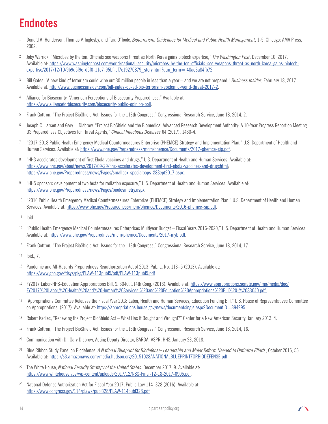## **Endnotes**

- <sup>1</sup> Donald A. Henderson, Thomas V. Inglesby, and Tara O'Toole, *Bioterrorism: Guidelines for Medical and Public Health Management*, 1-5, Chicago: AMA Press, 2002.
- <sup>2</sup> Joby Warrick, "Microbes by the ton: Officials see weapons threat as North Korea gains biotech expertise," *The Washington Post*, December 10, 2017. Available at: [https://www.washingtonpost.com/world/national-security/microbes-by-the-ton-officials-see-weapons-threat-as-north-korea-gains-biotech](https://www.washingtonpost.com/world/national-security/microbes-by-the-ton-officials-see-weapons-threat-as-north-korea-gains-biotech-expertise/2017/12/10/9b9d5f9e-d5f0-11e7-95bf-df7c19270879_story.html?utm_term=.40ae6a84fb72)[expertise/2017/12/10/9b9d5f9e-d5f0-11e7-95bf-df7c19270879\\_story.html?utm\\_term=.40ae6a84fb72](https://www.washingtonpost.com/world/national-security/microbes-by-the-ton-officials-see-weapons-threat-as-north-korea-gains-biotech-expertise/2017/12/10/9b9d5f9e-d5f0-11e7-95bf-df7c19270879_story.html?utm_term=.40ae6a84fb72).
- <sup>3</sup> Bill Gates, "A new kind of terrorism could wipe out 30 million people in less than a year and we are not prepared," *Business Insider*, February 18, 2017. Available at: <http://www.businessinsider.com/bill-gates-op-ed-bio-terrorism-epidemic-world-threat-2017-2>.
- 4 Alliance for Biosecurity, "American Perceptions of Biosecurity Preparedness." Available at: <https://www.allianceforbiosecurity.com/biosecurity-public-opinion-poll>.
- <sup>5</sup> Frank Gottron, "The Project BioShield Act: Issues for the 113th Congress," Congressional Research Service, June 18, 2014, 2.
- <sup>6</sup> Joseph C. Larsen and Gary L. Disbrow, "Project BioShield and the Biomedical Advanced Research Development Authority: A 10-Year Progress Report on Meeting US Preparedness Objectives for Threat Agents," *Clinical Infectious Diseases* 64 (2017): 1430-4.
- <sup>7</sup> "2017-2018 Public Health Emergency Medical Countermeasures Enterprise (PHEMCE) Strategy and Implementation Plan," U.S. Department of Health and Human Services. Available at: <https://www.phe.gov/Preparedness/mcm/phemce/Documents/2017-phemce-sip.pdf>.
- <sup>8</sup> "HHS accelerates development of first Ebola vaccines and drugs," U.S. Department of Health and Human Services. Available at: <https://www.hhs.gov/about/news/2017/09/29/hhs-accelerates-development-first-ebola-vaccines-and-drugshtml>; <https://www.phe.gov/Preparedness/news/Pages/smallpox-specialpops-28Sept2017.aspx>.
- <sup>9</sup> "HHS sponsors development of two tests for radiation exposure," U.S. Department of Health and Human Services. Available at: <https://www.phe.gov/Preparedness/news/Pages/biodosimetry.aspx>.
- <sup>10</sup> "2016 Public Health Emergency Medical Countermeasures Enterprise (PHEMCE) Strategy and Implementation Plan," U.S. Department of Health and Human Services. Available at: <https://www.phe.gov/Preparedness/mcm/phemce/Documents/2016-phemce-sip.pdf>.
- <sup>11</sup> Ibid.
- <sup>12</sup> "Public Health Emergency Medical Countermeasures Enterprises Multiyear Budget Fiscal Years 2016-2020," U.S. Department of Health and Human Services. Available at: <https://www.phe.gov/Preparedness/mcm/phemce/Documents/2017-myb.pdf>.
- <sup>13</sup> Frank Gottron, "The Project BioShield Act: Issues for the 113th Congress," Congressional Research Service, June 18, 2014, 17.
- <sup>14</sup> Ibid., 7.
- <sup>15</sup> Pandemic and All-Hazards Preparedness Reauthorization Act of 2013, Pub. L. No. 113–5 (2013). Available at: <https://www.gpo.gov/fdsys/pkg/PLAW-113publ5/pdf/PLAW-113publ5.pdf>
- <sup>16</sup> FY2017 Labor-HHS-Education Appropriations Bill, S. 3040, 114th Cong. (2016). Available at: [https://www.appropriations.senate.gov/imo/media/doc/](https://www.appropriations.senate.gov/imo/media/doc/FY2017%20Labor,%20Health%20and%20Human%20Services,%20and%20Education%20Appropriations%20Bill%20-%20S3040.pdf) [FY2017%20Labor,%20Health%20and%20Human%20Services,%20and%20Education%20Appropriations%20Bill%20-%20S3040.pdf](https://www.appropriations.senate.gov/imo/media/doc/FY2017%20Labor,%20Health%20and%20Human%20Services,%20and%20Education%20Appropriations%20Bill%20-%20S3040.pdf)
- <sup>17</sup> "Appropriations Committee Releases the Fiscal Year 2018 Labor, Health and Human Services, Education Funding Bill," U.S. House of Representatives Committee on Appropriations, (2017). Available at: <https://appropriations.house.gov/news/documentsingle.aspx?DocumentID=394995>.
- <sup>18</sup> Robert Kadlec, "Renewing the Project BioShield Act What Has It Bought and Wrought?" Center for a New American Security, January 2013, 4.
- <sup>19</sup> Frank Gottron, "The Project BioShield Act: Issues for the 113th Congress," Congressional Research Service, June 18, 2014, 16.
- <sup>20</sup> Communication with Dr. Gary Disbrow, Acting Deputy Director, BARDA, ASPR, HHS, January 23, 2018.
- <sup>21</sup> Blue Ribbon Study Panel on Biodefense, *A National Blueprint for Biodefense: Leadership and Major Reform Needed to Optimize Efforts*, October 2015, 55. Available at: <https://s3.amazonaws.com/media.hudson.org/20151028ANATIONALBLUEPRINTFORBIODEFENSE.pdf>
- <sup>22</sup> The White House, *National Security Strategy of the United States*. December 2017, 9. Available at: <https://www.whitehouse.gov/wp-content/uploads/2017/12/NSS-Final-12-18-2017-0905.pdf>.
- <sup>23</sup> National Defense Authorization Act for Fiscal Year 2017, Public Law 114–328 (2016). Available at: <https://www.congress.gov/114/plaws/publ328/PLAW-114publ328.pdf>

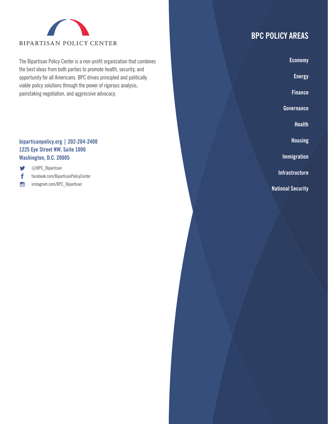

The Bipartisan Policy Center is a non-profit organization that combines the best ideas from both parties to promote health, security, and opportunity for all Americans. BPC drives principled and politically viable policy solutions through the power of rigorous analysis, painstaking negotiation, and aggressive advocacy.

#### **[bipartisanpolicy.org](http://bipartisanpolicy.org) | 202-204-2400 1225 Eye Street NW, Suite 1000 Washington, D.C. 20005**

y @BPC\_Bipartisan

- f [facebook.com/BipartisanPolicyCenter](http://facebook.com/BipartisanPolicyCenter)
- $\sigma$ [instagram.com/BPC](http://instagram.com/BPC)\_Bipartisan

## **BPC POLICY AREAS**

**Economy**

**Energy**

**Finance**

**Governance**

**Health**

**Housing**

**Immigration**

**Infrastructure**

**National Security**